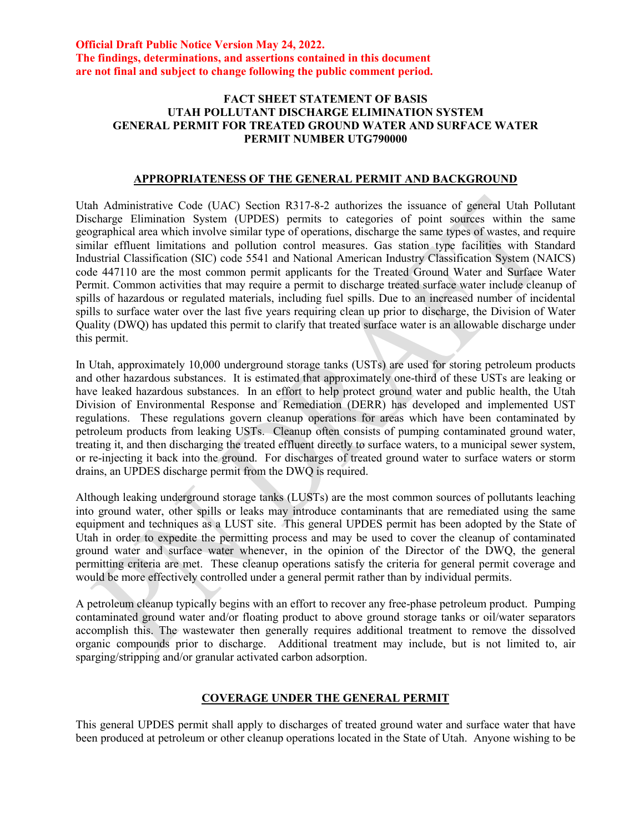#### **Official Draft Public Notice Version May 24, 2022. The findings, determinations, and assertions contained in this document are not final and subject to change following the public comment period.**

### **FACT SHEET STATEMENT OF BASIS UTAH POLLUTANT DISCHARGE ELIMINATION SYSTEM GENERAL PERMIT FOR TREATED GROUND WATER AND SURFACE WATER PERMIT NUMBER UTG790000**

# **APPROPRIATENESS OF THE GENERAL PERMIT AND BACKGROUND**

Utah Administrative Code (UAC) Section R317-8-2 authorizes the issuance of general Utah Pollutant Discharge Elimination System (UPDES) permits to categories of point sources within the same geographical area which involve similar type of operations, discharge the same types of wastes, and require similar effluent limitations and pollution control measures. Gas station type facilities with Standard Industrial Classification (SIC) code 5541 and National American Industry Classification System (NAICS) code 447110 are the most common permit applicants for the Treated Ground Water and Surface Water Permit. Common activities that may require a permit to discharge treated surface water include cleanup of spills of hazardous or regulated materials, including fuel spills. Due to an increased number of incidental spills to surface water over the last five years requiring clean up prior to discharge, the Division of Water Quality (DWQ) has updated this permit to clarify that treated surface water is an allowable discharge under this permit.

In Utah, approximately 10,000 underground storage tanks (USTs) are used for storing petroleum products and other hazardous substances. It is estimated that approximately one-third of these USTs are leaking or have leaked hazardous substances. In an effort to help protect ground water and public health, the Utah Division of Environmental Response and Remediation (DERR) has developed and implemented UST regulations. These regulations govern cleanup operations for areas which have been contaminated by petroleum products from leaking USTs. Cleanup often consists of pumping contaminated ground water, treating it, and then discharging the treated effluent directly to surface waters, to a municipal sewer system, or re-injecting it back into the ground. For discharges of treated ground water to surface waters or storm drains, an UPDES discharge permit from the DWQ is required.

Although leaking underground storage tanks (LUSTs) are the most common sources of pollutants leaching into ground water, other spills or leaks may introduce contaminants that are remediated using the same equipment and techniques as a LUST site. This general UPDES permit has been adopted by the State of Utah in order to expedite the permitting process and may be used to cover the cleanup of contaminated ground water and surface water whenever, in the opinion of the Director of the DWQ, the general permitting criteria are met. These cleanup operations satisfy the criteria for general permit coverage and would be more effectively controlled under a general permit rather than by individual permits.

A petroleum cleanup typically begins with an effort to recover any free-phase petroleum product. Pumping contaminated ground water and/or floating product to above ground storage tanks or oil/water separators accomplish this. The wastewater then generally requires additional treatment to remove the dissolved organic compounds prior to discharge. Additional treatment may include, but is not limited to, air sparging/stripping and/or granular activated carbon adsorption.

### **COVERAGE UNDER THE GENERAL PERMIT**

This general UPDES permit shall apply to discharges of treated ground water and surface water that have been produced at petroleum or other cleanup operations located in the State of Utah. Anyone wishing to be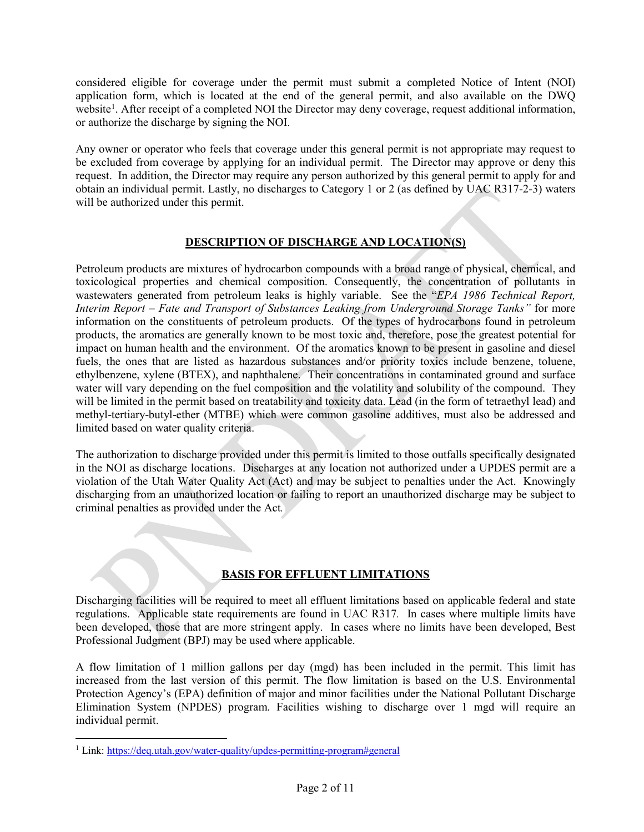considered eligible for coverage under the permit must submit a completed Notice of Intent (NOI) application form, which is located at the end of the general permit, and also available on the DWQ website<sup>[1](#page-1-0)</sup>. After receipt of a completed NOI the Director may deny coverage, request additional information, or authorize the discharge by signing the NOI.

Any owner or operator who feels that coverage under this general permit is not appropriate may request to be excluded from coverage by applying for an individual permit. The Director may approve or deny this request. In addition, the Director may require any person authorized by this general permit to apply for and obtain an individual permit. Lastly, no discharges to Category 1 or 2 (as defined by UAC R317-2-3) waters will be authorized under this permit.

# **DESCRIPTION OF DISCHARGE AND LOCATION(S)**

Petroleum products are mixtures of hydrocarbon compounds with a broad range of physical, chemical, and toxicological properties and chemical composition. Consequently, the concentration of pollutants in wastewaters generated from petroleum leaks is highly variable. See the "*EPA 1986 Technical Report, Interim Report – Fate and Transport of Substances Leaking from Underground Storage Tanks"* for more information on the constituents of petroleum products. Of the types of hydrocarbons found in petroleum products, the aromatics are generally known to be most toxic and, therefore, pose the greatest potential for impact on human health and the environment. Of the aromatics known to be present in gasoline and diesel fuels, the ones that are listed as hazardous substances and/or priority toxics include benzene, toluene, ethylbenzene, xylene (BTEX), and naphthalene. Their concentrations in contaminated ground and surface water will vary depending on the fuel composition and the volatility and solubility of the compound. They will be limited in the permit based on treatability and toxicity data. Lead (in the form of tetraethyl lead) and methyl-tertiary-butyl-ether (MTBE) which were common gasoline additives, must also be addressed and limited based on water quality criteria.

The authorization to discharge provided under this permit is limited to those outfalls specifically designated in the NOI as discharge locations. Discharges at any location not authorized under a UPDES permit are a violation of the Utah Water Quality Act (Act) and may be subject to penalties under the Act. Knowingly discharging from an unauthorized location or failing to report an unauthorized discharge may be subject to criminal penalties as provided under the Act*.*

# **BASIS FOR EFFLUENT LIMITATIONS**

Discharging facilities will be required to meet all effluent limitations based on applicable federal and state regulations. Applicable state requirements are found in UAC R317*.* In cases where multiple limits have been developed, those that are more stringent apply. In cases where no limits have been developed, Best Professional Judgment (BPJ) may be used where applicable.

A flow limitation of 1 million gallons per day (mgd) has been included in the permit. This limit has increased from the last version of this permit. The flow limitation is based on the U.S. Environmental Protection Agency's (EPA) definition of major and minor facilities under the National Pollutant Discharge Elimination System (NPDES) program. Facilities wishing to discharge over 1 mgd will require an individual permit.

 $\overline{a}$ 

<span id="page-1-0"></span><sup>&</sup>lt;sup>1</sup> Link: https://deq.utah.gov/water-quality/updes-permitting-program#general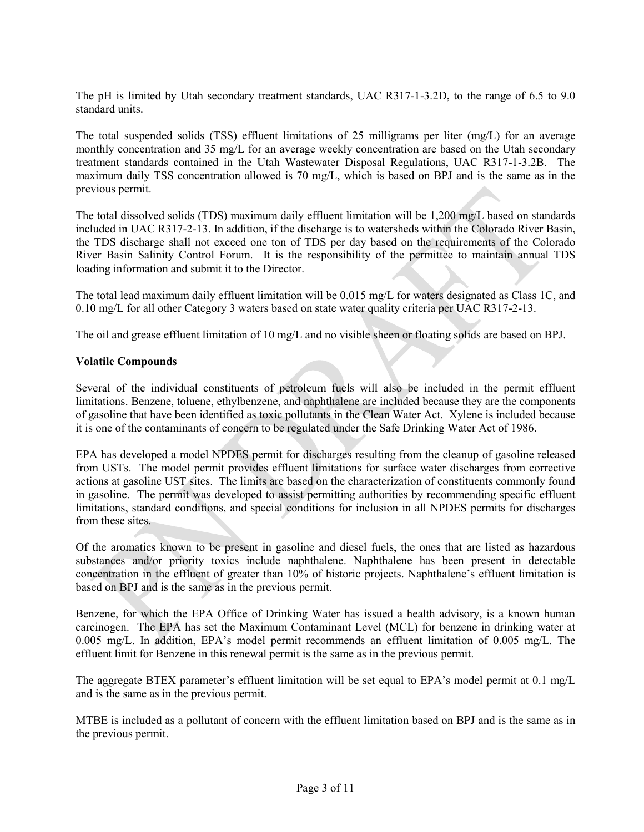The pH is limited by Utah secondary treatment standards, UAC R317-1-3.2D, to the range of 6.5 to 9.0 standard units.

The total suspended solids (TSS) effluent limitations of 25 milligrams per liter (mg/L) for an average monthly concentration and 35 mg/L for an average weekly concentration are based on the Utah secondary treatment standards contained in the Utah Wastewater Disposal Regulations, UAC R317-1-3.2B. The maximum daily TSS concentration allowed is 70 mg/L, which is based on BPJ and is the same as in the previous permit.

The total dissolved solids (TDS) maximum daily effluent limitation will be 1,200 mg/L based on standards included in UAC R317-2-13. In addition, if the discharge is to watersheds within the Colorado River Basin, the TDS discharge shall not exceed one ton of TDS per day based on the requirements of the Colorado River Basin Salinity Control Forum. It is the responsibility of the permittee to maintain annual TDS loading information and submit it to the Director.

The total lead maximum daily effluent limitation will be 0.015 mg/L for waters designated as Class 1C, and 0.10 mg/L for all other Category 3 waters based on state water quality criteria per UAC R317-2-13.

The oil and grease effluent limitation of 10 mg/L and no visible sheen or floating solids are based on BPJ.

### **Volatile Compounds**

Several of the individual constituents of petroleum fuels will also be included in the permit effluent limitations. Benzene, toluene, ethylbenzene, and naphthalene are included because they are the components of gasoline that have been identified as toxic pollutants in the Clean Water Act. Xylene is included because it is one of the contaminants of concern to be regulated under the Safe Drinking Water Act of 1986.

EPA has developed a model NPDES permit for discharges resulting from the cleanup of gasoline released from USTs. The model permit provides effluent limitations for surface water discharges from corrective actions at gasoline UST sites. The limits are based on the characterization of constituents commonly found in gasoline. The permit was developed to assist permitting authorities by recommending specific effluent limitations, standard conditions, and special conditions for inclusion in all NPDES permits for discharges from these sites.

Of the aromatics known to be present in gasoline and diesel fuels, the ones that are listed as hazardous substances and/or priority toxics include naphthalene. Naphthalene has been present in detectable concentration in the effluent of greater than 10% of historic projects. Naphthalene's effluent limitation is based on BPJ and is the same as in the previous permit.

Benzene, for which the EPA Office of Drinking Water has issued a health advisory, is a known human carcinogen. The EPA has set the Maximum Contaminant Level (MCL) for benzene in drinking water at 0.005 mg/L. In addition, EPA's model permit recommends an effluent limitation of 0.005 mg/L. The effluent limit for Benzene in this renewal permit is the same as in the previous permit.

The aggregate BTEX parameter's effluent limitation will be set equal to EPA's model permit at 0.1 mg/L and is the same as in the previous permit.

MTBE is included as a pollutant of concern with the effluent limitation based on BPJ and is the same as in the previous permit.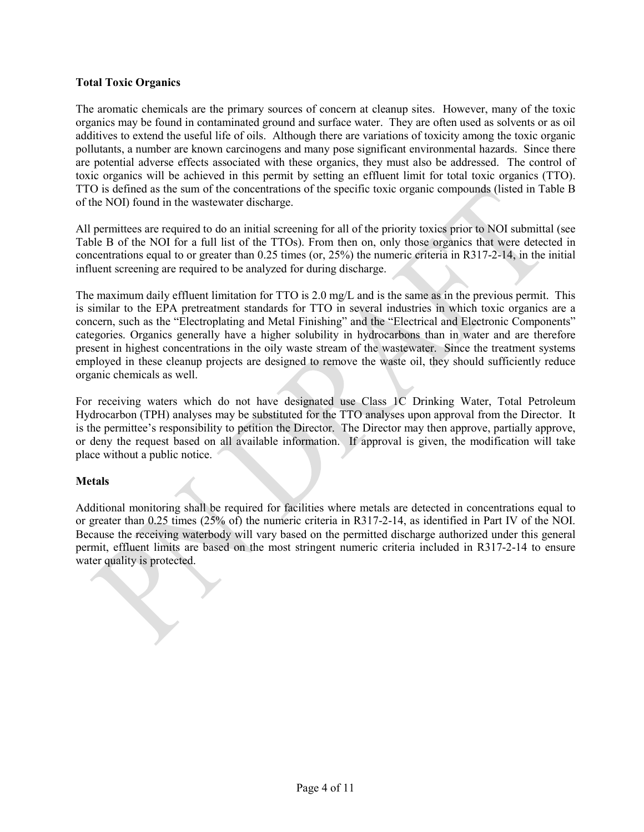### **Total Toxic Organics**

The aromatic chemicals are the primary sources of concern at cleanup sites. However, many of the toxic organics may be found in contaminated ground and surface water. They are often used as solvents or as oil additives to extend the useful life of oils. Although there are variations of toxicity among the toxic organic pollutants, a number are known carcinogens and many pose significant environmental hazards. Since there are potential adverse effects associated with these organics, they must also be addressed. The control of toxic organics will be achieved in this permit by setting an effluent limit for total toxic organics (TTO). TTO is defined as the sum of the concentrations of the specific toxic organic compounds (listed in Table B of the NOI) found in the wastewater discharge.

All permittees are required to do an initial screening for all of the priority toxics prior to NOI submittal (see Table B of the NOI for a full list of the TTOs). From then on, only those organics that were detected in concentrations equal to or greater than 0.25 times (or, 25%) the numeric criteria in R317-2-14, in the initial influent screening are required to be analyzed for during discharge.

The maximum daily effluent limitation for TTO is 2.0 mg/L and is the same as in the previous permit. This is similar to the EPA pretreatment standards for TTO in several industries in which toxic organics are a concern, such as the "Electroplating and Metal Finishing" and the "Electrical and Electronic Components" categories. Organics generally have a higher solubility in hydrocarbons than in water and are therefore present in highest concentrations in the oily waste stream of the wastewater. Since the treatment systems employed in these cleanup projects are designed to remove the waste oil, they should sufficiently reduce organic chemicals as well.

For receiving waters which do not have designated use Class 1C Drinking Water, Total Petroleum Hydrocarbon (TPH) analyses may be substituted for the TTO analyses upon approval from the Director. It is the permittee's responsibility to petition the Director. The Director may then approve, partially approve, or deny the request based on all available information. If approval is given, the modification will take place without a public notice.

### **Metals**

Additional monitoring shall be required for facilities where metals are detected in concentrations equal to or greater than 0.25 times (25% of) the numeric criteria in R317-2-14, as identified in Part IV of the NOI. Because the receiving waterbody will vary based on the permitted discharge authorized under this general permit, effluent limits are based on the most stringent numeric criteria included in R317-2-14 to ensure water quality is protected.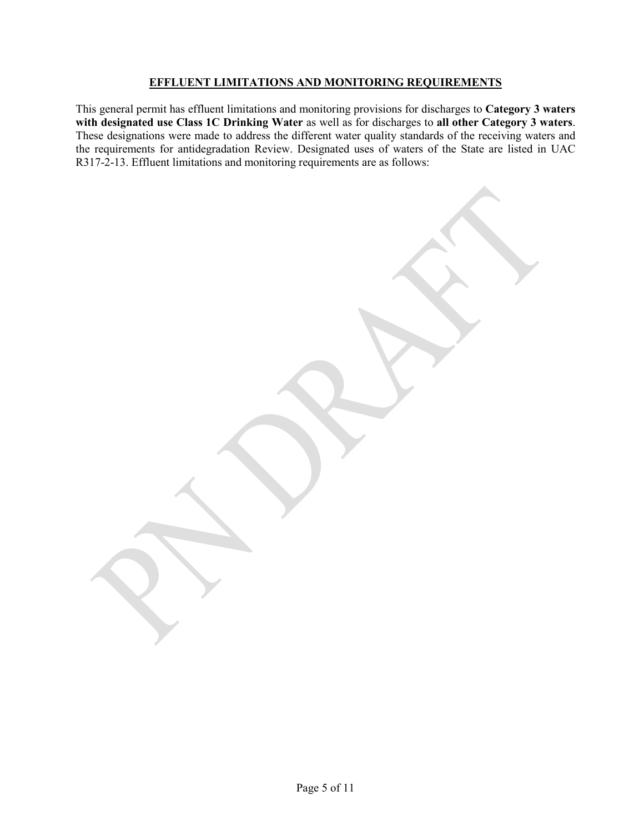### **EFFLUENT LIMITATIONS AND MONITORING REQUIREMENTS**

This general permit has effluent limitations and monitoring provisions for discharges to **Category 3 waters with designated use Class 1C Drinking Water** as well as for discharges to **all other Category 3 waters**. These designations were made to address the different water quality standards of the receiving waters and the requirements for antidegradation Review. Designated uses of waters of the State are listed in UAC R317-2-13. Effluent limitations and monitoring requirements are as follows: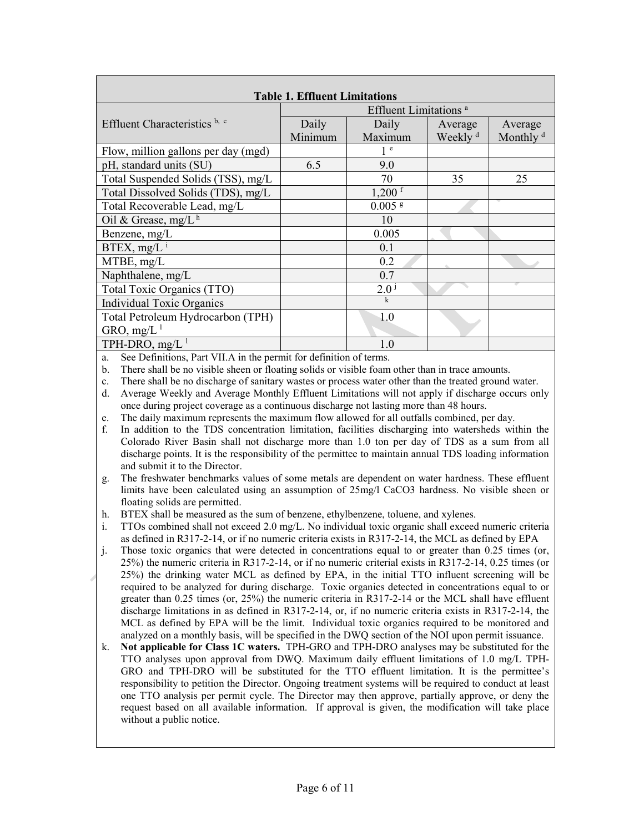| <b>Table 1. Effluent Limitations</b> |                                                             |                     |                      |  |  |  |
|--------------------------------------|-------------------------------------------------------------|---------------------|----------------------|--|--|--|
| Effluent Limitations <sup>a</sup>    |                                                             |                     |                      |  |  |  |
| Daily                                | Daily                                                       | Average             | Average              |  |  |  |
| Minimum                              | Maximum                                                     | Weekly <sup>d</sup> | Monthly <sup>d</sup> |  |  |  |
|                                      | 1 <sup>e</sup>                                              |                     |                      |  |  |  |
| 6.5                                  | 9.0                                                         |                     |                      |  |  |  |
|                                      | 70                                                          | 35                  | 25                   |  |  |  |
|                                      | $1,200$ f                                                   |                     |                      |  |  |  |
|                                      | $0.005$ g                                                   |                     |                      |  |  |  |
|                                      | 10                                                          |                     |                      |  |  |  |
|                                      | 0.005                                                       |                     |                      |  |  |  |
|                                      | 0.1                                                         |                     |                      |  |  |  |
|                                      | 0.2                                                         |                     |                      |  |  |  |
|                                      | 0.7                                                         |                     |                      |  |  |  |
|                                      | 2.0 <sup>j</sup>                                            |                     |                      |  |  |  |
|                                      | $\mathbf k$                                                 |                     |                      |  |  |  |
|                                      | 1.0                                                         |                     |                      |  |  |  |
|                                      |                                                             |                     |                      |  |  |  |
|                                      | 1.0                                                         |                     |                      |  |  |  |
|                                      | $\mathbf{r} \cdot \mathbf{r} = \mathbf{r} \cdot \mathbf{r}$ | $\sim$              |                      |  |  |  |

a. See Definitions, Part VII.A in the permit for definition of terms.

b. There shall be no visible sheen or floating solids or visible foam other than in trace amounts.

c. There shall be no discharge of sanitary wastes or process water other than the treated ground water.

d. Average Weekly and Average Monthly Effluent Limitations will not apply if discharge occurs only once during project coverage as a continuous discharge not lasting more than 48 hours.

e. The daily maximum represents the maximum flow allowed for all outfalls combined, per day.

- f. In addition to the TDS concentration limitation, facilities discharging into watersheds within the Colorado River Basin shall not discharge more than 1.0 ton per day of TDS as a sum from all discharge points. It is the responsibility of the permittee to maintain annual TDS loading information and submit it to the Director.
- g. The freshwater benchmarks values of some metals are dependent on water hardness. These effluent limits have been calculated using an assumption of 25mg/l CaCO3 hardness. No visible sheen or floating solids are permitted.
- h. BTEX shall be measured as the sum of benzene, ethylbenzene, toluene, and xylenes.

i. TTOs combined shall not exceed 2.0 mg/L. No individual toxic organic shall exceed numeric criteria as defined in R317-2-14, or if no numeric criteria exists in R317-2-14, the MCL as defined by EPA

- j. Those toxic organics that were detected in concentrations equal to or greater than 0.25 times (or, 25%) the numeric criteria in R317-2-14, or if no numeric criterial exists in R317-2-14, 0.25 times (or 25%) the drinking water MCL as defined by EPA, in the initial TTO influent screening will be required to be analyzed for during discharge. Toxic organics detected in concentrations equal to or greater than 0.25 times (or, 25%) the numeric criteria in R317-2-14 or the MCL shall have effluent discharge limitations in as defined in R317-2-14, or, if no numeric criteria exists in R317-2-14, the MCL as defined by EPA will be the limit. Individual toxic organics required to be monitored and analyzed on a monthly basis, will be specified in the DWQ section of the NOI upon permit issuance.
- k. **Not applicable for Class 1C waters.** TPH-GRO and TPH-DRO analyses may be substituted for the TTO analyses upon approval from DWQ. Maximum daily effluent limitations of 1.0 mg/L TPH-GRO and TPH-DRO will be substituted for the TTO effluent limitation. It is the permittee's responsibility to petition the Director. Ongoing treatment systems will be required to conduct at least one TTO analysis per permit cycle. The Director may then approve, partially approve, or deny the request based on all available information. If approval is given, the modification will take place without a public notice.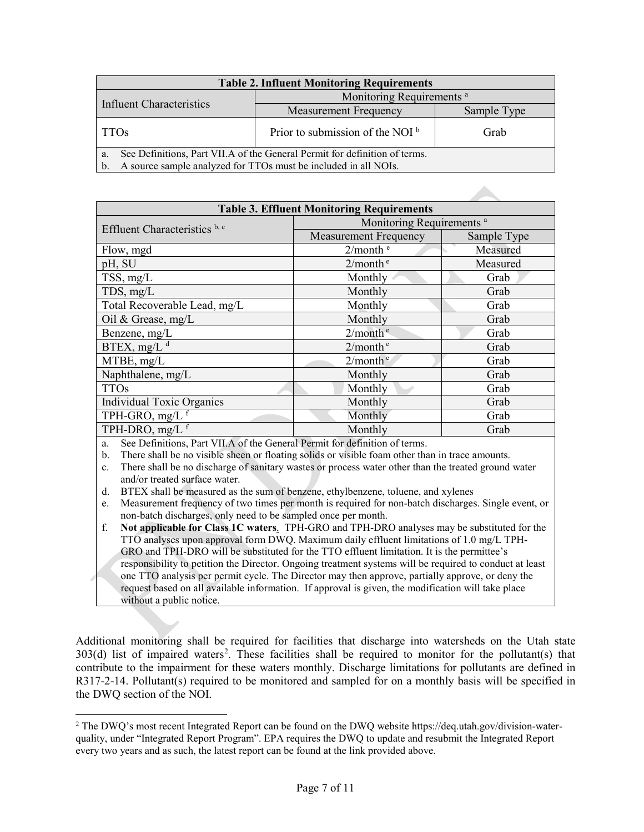| <b>Table 2. Influent Monitoring Requirements</b>                                 |                                      |             |  |  |  |
|----------------------------------------------------------------------------------|--------------------------------------|-------------|--|--|--|
| Influent Characteristics                                                         | Monitoring Requirements <sup>a</sup> |             |  |  |  |
|                                                                                  | <b>Measurement Frequency</b>         | Sample Type |  |  |  |
| <b>TTOs</b>                                                                      | Prior to submission of the NOI $b$   | Grab        |  |  |  |
| See Definitions, Part VII.A of the General Permit for definition of terms.<br>a. |                                      |             |  |  |  |
| A source sample analyzed for TTOs must be included in all NOIs.                  |                                      |             |  |  |  |

| <b>Table 3. Effluent Monitoring Requirements</b> |                                      |             |  |  |
|--------------------------------------------------|--------------------------------------|-------------|--|--|
| Effluent Characteristics b, c                    | Monitoring Requirements <sup>a</sup> |             |  |  |
|                                                  | <b>Measurement Frequency</b>         | Sample Type |  |  |
| Flow, mgd                                        | 2/month e                            | Measured    |  |  |
| pH, SU                                           | 2/month <sup>e</sup>                 | Measured    |  |  |
| TSS, mg/L                                        | Monthly                              | Grab        |  |  |
| TDS, mg/L                                        | Monthly                              | Grab        |  |  |
| Total Recoverable Lead, mg/L                     | Monthly                              | Grab        |  |  |
| Oil & Grease, $mg/L$                             | Monthly                              | Grab        |  |  |
| Benzene, mg/L                                    | 2/month <sup>e</sup>                 | Grab        |  |  |
| BTEX, mg/L $d$                                   | 2/month <sup>e</sup>                 | Grab        |  |  |
| MTBE, mg/L                                       | 2/month <sup>e</sup>                 | Grab        |  |  |
| Naphthalene, mg/L                                | Monthly                              | Grab        |  |  |
| <b>TTOs</b>                                      | Monthly                              | Grab        |  |  |
| Individual Toxic Organics                        | Monthly                              | Grab        |  |  |
| TPH-GRO, $mg/L$ <sup>f</sup>                     | Monthly                              | Grab        |  |  |
| TPH-DRO, mg/L f                                  | Monthly                              | Grab        |  |  |

a. See Definitions, Part VII.A of the General Permit for definition of terms.

b. There shall be no visible sheen or floating solids or visible foam other than in trace amounts.

c. There shall be no discharge of sanitary wastes or process water other than the treated ground water and/or treated surface water.

d. BTEX shall be measured as the sum of benzene, ethylbenzene, toluene, and xylenes

e. Measurement frequency of two times per month is required for non-batch discharges. Single event, or non-batch discharges, only need to be sampled once per month.

f. **Not applicable for Class 1C waters**. TPH-GRO and TPH-DRO analyses may be substituted for the TTO analyses upon approval form DWQ. Maximum daily effluent limitations of 1.0 mg/L TPH-GRO and TPH-DRO will be substituted for the TTO effluent limitation. It is the permittee's responsibility to petition the Director. Ongoing treatment systems will be required to conduct at least one TTO analysis per permit cycle. The Director may then approve, partially approve, or deny the request based on all available information. If approval is given, the modification will take place without a public notice.

Additional monitoring shall be required for facilities that discharge into watersheds on the Utah state 303(d) list of impaired waters<sup>2</sup>. These facilities shall be required to monitor for the pollutant(s) that contribute to the impairment for these waters monthly. Discharge limitations for pollutants are defined in R317-2-14. Pollutant(s) required to be monitored and sampled for on a monthly basis will be specified in the DWQ section of the NOI.

<span id="page-6-0"></span> $\overline{a}$ <sup>2</sup> The DWQ's most recent Integrated Report can be found on the DWQ website https://deq.utah.gov/division-waterquality, under "Integrated Report Program". EPA requires the DWQ to update and resubmit the Integrated Report every two years and as such, the latest report can be found at the link provided above.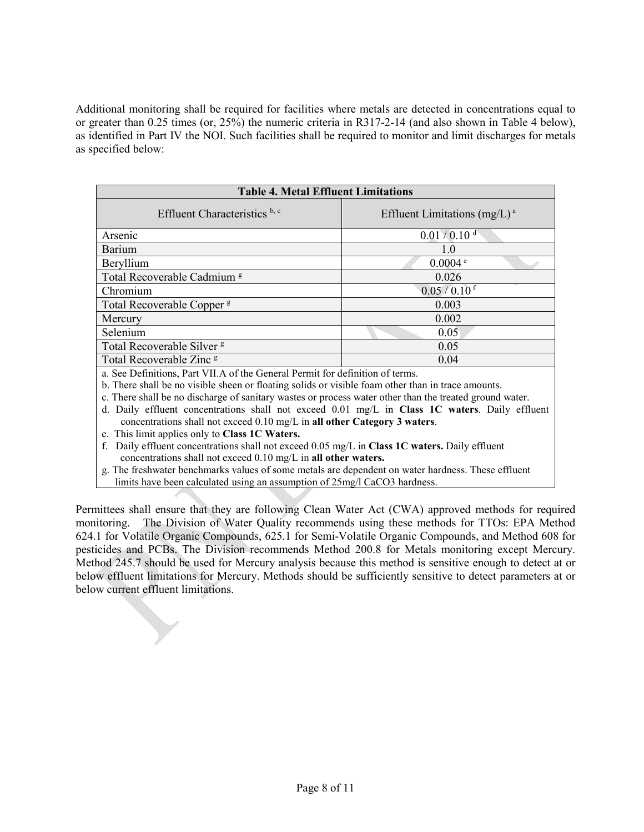Additional monitoring shall be required for facilities where metals are detected in concentrations equal to or greater than 0.25 times (or, 25%) the numeric criteria in R317-2-14 (and also shown in Table 4 below), as identified in Part IV the NOI. Such facilities shall be required to monitor and limit discharges for metals as specified below:

| <b>Table 4. Metal Effluent Limitations</b>                                                                                        |                                 |  |  |  |
|-----------------------------------------------------------------------------------------------------------------------------------|---------------------------------|--|--|--|
| Effluent Characteristics b, c                                                                                                     | Effluent Limitations $(mg/L)^a$ |  |  |  |
| Arsenic                                                                                                                           | $0.01 / 0.10$ <sup>d</sup>      |  |  |  |
| Barium                                                                                                                            | 1.0                             |  |  |  |
| Beryllium                                                                                                                         | 0.0004e                         |  |  |  |
| Total Recoverable Cadmium <sup>g</sup>                                                                                            | 0.026                           |  |  |  |
| Chromium                                                                                                                          | $0.05/0.10$ <sup>f</sup>        |  |  |  |
| Total Recoverable Copper <sup>g</sup>                                                                                             | 0.003                           |  |  |  |
| Mercury                                                                                                                           | 0.002                           |  |  |  |
| Selenium                                                                                                                          | 0.05                            |  |  |  |
| Total Recoverable Silver <sup>g</sup>                                                                                             | 0.05                            |  |  |  |
| Total Recoverable Zinc <sup>g</sup>                                                                                               | 0.04                            |  |  |  |
| $\cdots$ $\alpha$ $\cdots$ $\alpha$ $\cdots$<br>$\sim$ $\sim$ $\sim$ $\sim$ $\sim$ $\sim$ $\sim$ $\sim$<br>$\mathbf{1}$<br>$\sim$ |                                 |  |  |  |

a. See Definitions, Part VII.A of the General Permit for definition of terms.

b. There shall be no visible sheen or floating solids or visible foam other than in trace amounts.

c. There shall be no discharge of sanitary wastes or process water other than the treated ground water.

d. Daily effluent concentrations shall not exceed 0.01 mg/L in **Class 1C waters**. Daily effluent concentrations shall not exceed 0.10 mg/L in **all other Category 3 waters**.

e. This limit applies only to **Class 1C Waters.**

f. Daily effluent concentrations shall not exceed 0.05 mg/L in **Class 1C waters.** Daily effluent concentrations shall not exceed 0.10 mg/L in **all other waters.**

g. The freshwater benchmarks values of some metals are dependent on water hardness. These effluent limits have been calculated using an assumption of 25mg/l CaCO3 hardness.

Permittees shall ensure that they are following Clean Water Act (CWA) approved methods for required monitoring. The Division of Water Quality recommends using these methods for TTOs: EPA Method 624.1 for Volatile Organic Compounds, 625.1 for Semi-Volatile Organic Compounds, and Method 608 for pesticides and PCBs. The Division recommends Method 200.8 for Metals monitoring except Mercury. Method 245.7 should be used for Mercury analysis because this method is sensitive enough to detect at or below effluent limitations for Mercury. Methods should be sufficiently sensitive to detect parameters at or below current effluent limitations.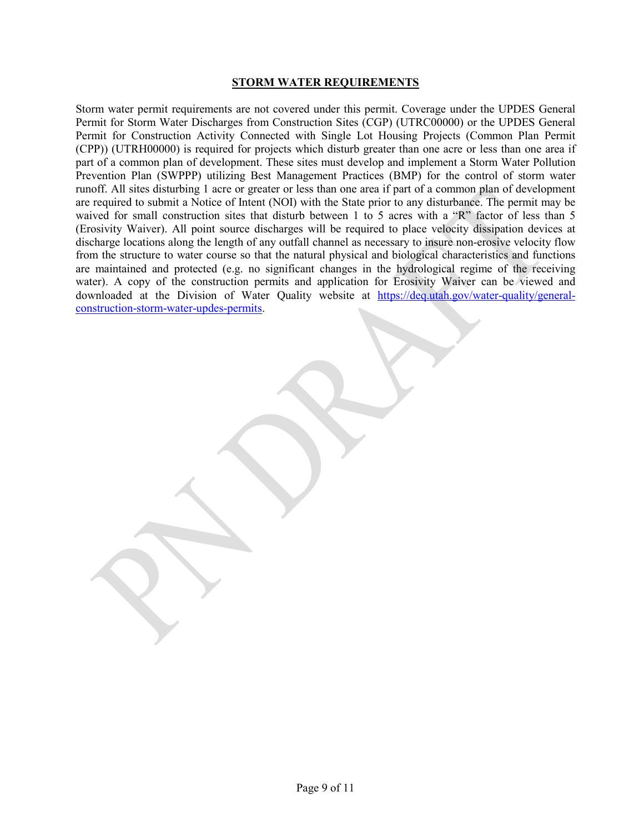#### **STORM WATER REQUIREMENTS**

Storm water permit requirements are not covered under this permit. Coverage under the UPDES General Permit for Storm Water Discharges from Construction Sites (CGP) (UTRC00000) or the UPDES General Permit for Construction Activity Connected with Single Lot Housing Projects (Common Plan Permit (CPP)) (UTRH00000) is required for projects which disturb greater than one acre or less than one area if part of a common plan of development. These sites must develop and implement a Storm Water Pollution Prevention Plan (SWPPP) utilizing Best Management Practices (BMP) for the control of storm water runoff. All sites disturbing 1 acre or greater or less than one area if part of a common plan of development are required to submit a Notice of Intent (NOI) with the State prior to any disturbance. The permit may be waived for small construction sites that disturb between 1 to 5 acres with a "R" factor of less than 5 (Erosivity Waiver). All point source discharges will be required to place velocity dissipation devices at discharge locations along the length of any outfall channel as necessary to insure non-erosive velocity flow from the structure to water course so that the natural physical and biological characteristics and functions are maintained and protected (e.g. no significant changes in the hydrological regime of the receiving water). A copy of the construction permits and application for Erosivity Waiver can be viewed and downloaded at the Division of Water Quality website at [https://deq.utah.gov/water-quality/general](https://deq.utah.gov/water-quality/general-construction-storm-water-updes-permits)[construction-storm-water-updes-permits.](https://deq.utah.gov/water-quality/general-construction-storm-water-updes-permits)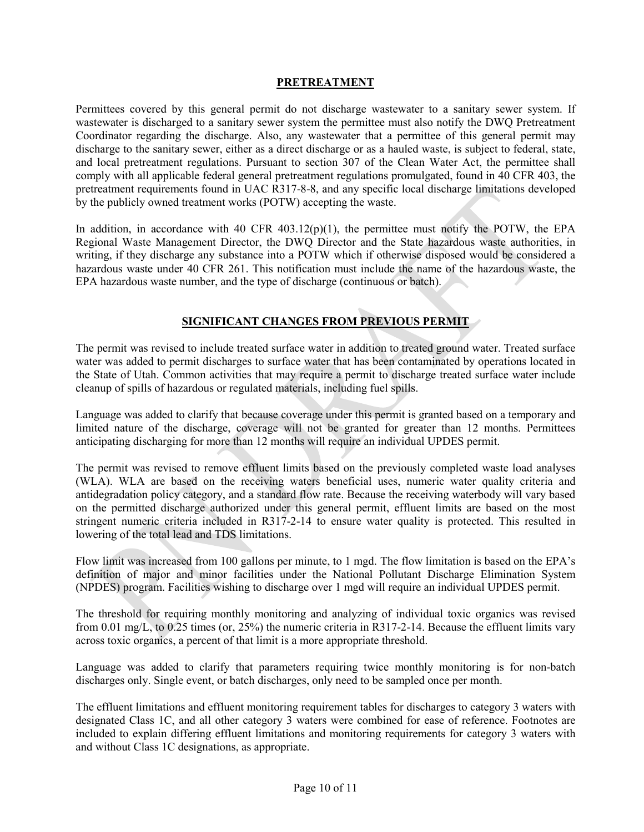#### **PRETREATMENT**

Permittees covered by this general permit do not discharge wastewater to a sanitary sewer system. If wastewater is discharged to a sanitary sewer system the permittee must also notify the DWQ Pretreatment Coordinator regarding the discharge. Also, any wastewater that a permittee of this general permit may discharge to the sanitary sewer, either as a direct discharge or as a hauled waste, is subject to federal, state, and local pretreatment regulations. Pursuant to section 307 of the Clean Water Act, the permittee shall comply with all applicable federal general pretreatment regulations promulgated, found in 40 CFR 403, the pretreatment requirements found in UAC R317-8-8, and any specific local discharge limitations developed by the publicly owned treatment works (POTW) accepting the waste.

In addition, in accordance with 40 CFR  $403.12(p)(1)$ , the permittee must notify the POTW, the EPA Regional Waste Management Director, the DWQ Director and the State hazardous waste authorities, in writing, if they discharge any substance into a POTW which if otherwise disposed would be considered a hazardous waste under 40 CFR 261. This notification must include the name of the hazardous waste, the EPA hazardous waste number, and the type of discharge (continuous or batch).

# **SIGNIFICANT CHANGES FROM PREVIOUS PERMIT**

The permit was revised to include treated surface water in addition to treated ground water. Treated surface water was added to permit discharges to surface water that has been contaminated by operations located in the State of Utah. Common activities that may require a permit to discharge treated surface water include cleanup of spills of hazardous or regulated materials, including fuel spills.

Language was added to clarify that because coverage under this permit is granted based on a temporary and limited nature of the discharge, coverage will not be granted for greater than 12 months. Permittees anticipating discharging for more than 12 months will require an individual UPDES permit.

The permit was revised to remove effluent limits based on the previously completed waste load analyses (WLA). WLA are based on the receiving waters beneficial uses, numeric water quality criteria and antidegradation policy category, and a standard flow rate. Because the receiving waterbody will vary based on the permitted discharge authorized under this general permit, effluent limits are based on the most stringent numeric criteria included in R317-2-14 to ensure water quality is protected. This resulted in lowering of the total lead and TDS limitations.

Flow limit was increased from 100 gallons per minute, to 1 mgd. The flow limitation is based on the EPA's definition of major and minor facilities under the National Pollutant Discharge Elimination System (NPDES) program. Facilities wishing to discharge over 1 mgd will require an individual UPDES permit.

The threshold for requiring monthly monitoring and analyzing of individual toxic organics was revised from 0.01 mg/L, to 0.25 times (or, 25%) the numeric criteria in R317-2-14. Because the effluent limits vary across toxic organics, a percent of that limit is a more appropriate threshold.

Language was added to clarify that parameters requiring twice monthly monitoring is for non-batch discharges only. Single event, or batch discharges, only need to be sampled once per month.

The effluent limitations and effluent monitoring requirement tables for discharges to category 3 waters with designated Class 1C, and all other category 3 waters were combined for ease of reference. Footnotes are included to explain differing effluent limitations and monitoring requirements for category 3 waters with and without Class 1C designations, as appropriate.